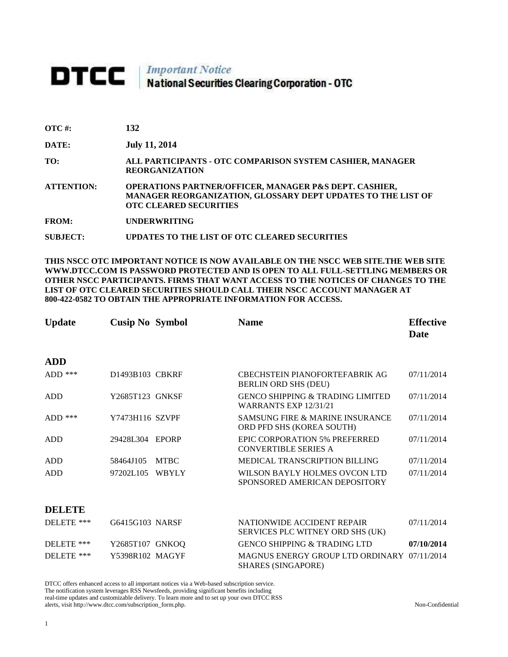# **DTCC** National Securities Clearing Corporation - OTC

| $\overline{\text{OTC}}$ #: | 132 |
|----------------------------|-----|
|                            |     |

**DATE: July 11, 2014**

**TO: ALL PARTICIPANTS - OTC COMPARISON SYSTEM CASHIER, MANAGER REORGANIZATION** 

**ATTENTION: OPERATIONS PARTNER/OFFICER, MANAGER P&S DEPT. CASHIER, MANAGER REORGANIZATION, GLOSSARY DEPT UPDATES TO THE LIST OF OTC CLEARED SECURITIES** 

**FROM: UNDERWRITING**

**SUBJECT: UPDATES TO THE LIST OF OTC CLEARED SECURITIES**

**THIS NSCC OTC IMPORTANT NOTICE IS NOW AVAILABLE ON THE NSCC WEB SITE.THE WEB SITE WWW.DTCC.COM IS PASSWORD PROTECTED AND IS OPEN TO ALL FULL-SETTLING MEMBERS OR OTHER NSCC PARTICIPANTS. FIRMS THAT WANT ACCESS TO THE NOTICES OF CHANGES TO THE LIST OF OTC CLEARED SECURITIES SHOULD CALL THEIR NSCC ACCOUNT MANAGER AT 800-422-0582 TO OBTAIN THE APPROPRIATE INFORMATION FOR ACCESS.** 

| <b>Update</b> | <b>Cusip No Symbol</b> |              | <b>Name</b>                                                                 | <b>Effective</b><br><b>Date</b> |
|---------------|------------------------|--------------|-----------------------------------------------------------------------------|---------------------------------|
| <b>ADD</b>    |                        |              |                                                                             |                                 |
| $ADD$ ***     | D1493B103 CBKRF        |              | <b>CBECHSTEIN PIANOFORTEFABRIK AG</b><br><b>BERLIN ORD SHS (DEU)</b>        | 07/11/2014                      |
| <b>ADD</b>    | Y2685T123 GNKSF        |              | <b>GENCO SHIPPING &amp; TRADING LIMITED</b><br><b>WARRANTS EXP 12/31/21</b> | 07/11/2014                      |
| ADD $***$     | Y7473H116 SZVPF        |              | <b>SAMSUNG FIRE &amp; MARINE INSURANCE</b><br>ORD PFD SHS (KOREA SOUTH)     | 07/11/2014                      |
| ADD           | 29428L304              | <b>EPORP</b> | EPIC CORPORATION 5% PREFERRED<br><b>CONVERTIBLE SERIES A</b>                | 07/11/2014                      |
| ADD           | 58464J105              | <b>MTBC</b>  | <b>MEDICAL TRANSCRIPTION BILLING</b>                                        | 07/11/2014                      |
| <b>ADD</b>    | 97202L105              | <b>WBYLY</b> | WILSON BAYLY HOLMES OVCON LTD<br>SPONSORED AMERICAN DEPOSITORY              | 07/11/2014                      |
| <b>DELETE</b> |                        |              |                                                                             |                                 |
| DELETE ***    | G6415G103 NARSF        |              | NATIONWIDE ACCIDENT REPAIR<br>SERVICES PLC WITNEY ORD SHS (UK)              | 07/11/2014                      |
| DELETE ***    | Y2685T107 GNKOQ        |              | <b>GENCO SHIPPING &amp; TRADING LTD</b>                                     | 07/10/2014                      |
| DELETE ***    | Y5398R102 MAGYF        |              | MAGNUS ENERGY GROUP LTD ORDINARY 07/11/2014<br><b>SHARES (SINGAPORE)</b>    |                                 |

DTCC offers enhanced access to all important notices via a Web-based subscription service. The notification system leverages RSS Newsfeeds, providing significant benefits including real-time updates and customizable delivery. To learn more and to set up your own DTCC RSS alerts, visit http://www.dtcc.com/subscription\_form.php. Non-Confidential